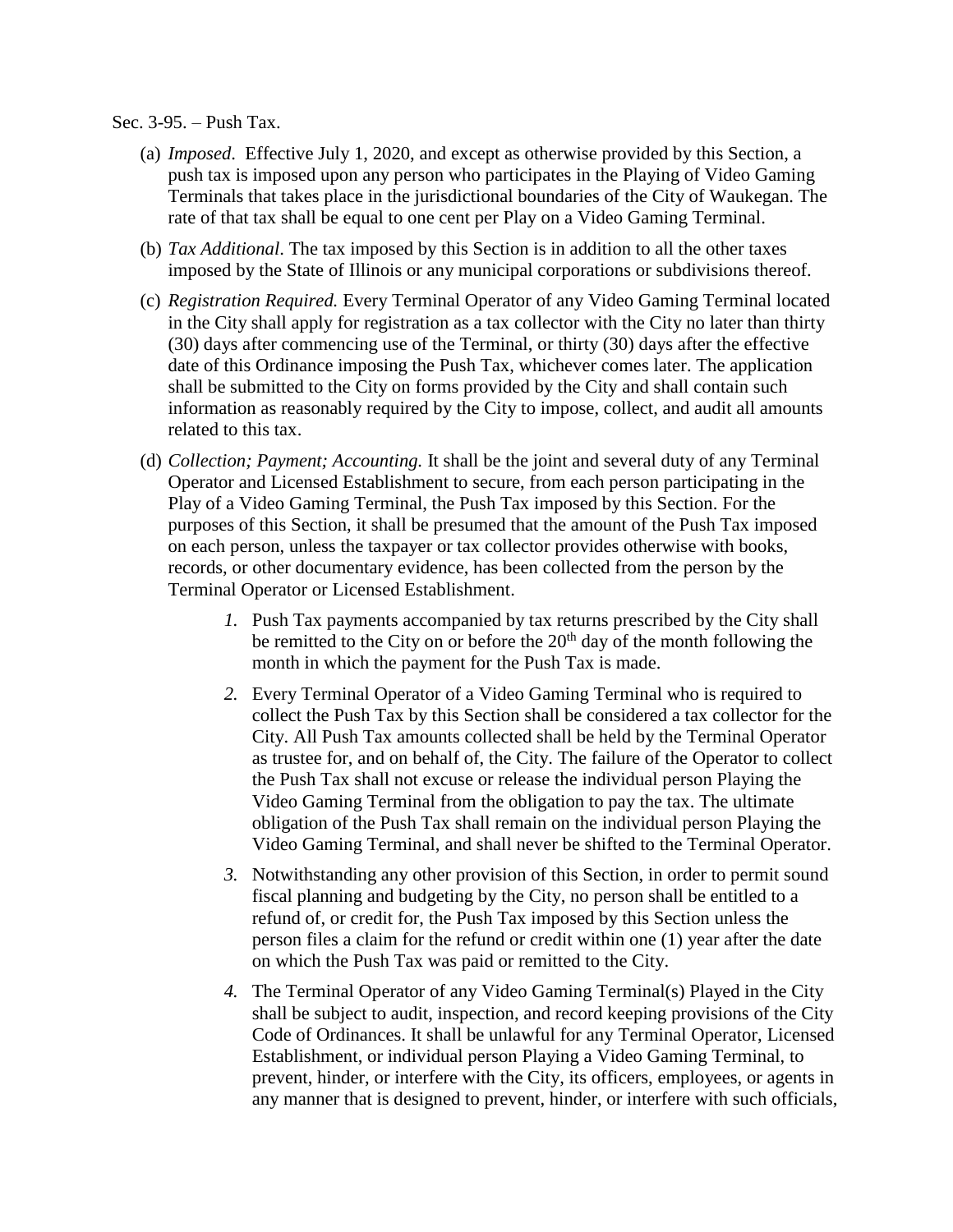## Sec. 3-95. – Push Tax.

- (a) *Imposed*. Effective July 1, 2020, and except as otherwise provided by this Section, a push tax is imposed upon any person who participates in the Playing of Video Gaming Terminals that takes place in the jurisdictional boundaries of the City of Waukegan. The rate of that tax shall be equal to one cent per Play on a Video Gaming Terminal.
- (b) *Tax Additional*. The tax imposed by this Section is in addition to all the other taxes imposed by the State of Illinois or any municipal corporations or subdivisions thereof.
- (c) *Registration Required.* Every Terminal Operator of any Video Gaming Terminal located in the City shall apply for registration as a tax collector with the City no later than thirty (30) days after commencing use of the Terminal, or thirty (30) days after the effective date of this Ordinance imposing the Push Tax, whichever comes later. The application shall be submitted to the City on forms provided by the City and shall contain such information as reasonably required by the City to impose, collect, and audit all amounts related to this tax.
- (d) *Collection; Payment; Accounting.* It shall be the joint and several duty of any Terminal Operator and Licensed Establishment to secure, from each person participating in the Play of a Video Gaming Terminal, the Push Tax imposed by this Section. For the purposes of this Section, it shall be presumed that the amount of the Push Tax imposed on each person, unless the taxpayer or tax collector provides otherwise with books, records, or other documentary evidence, has been collected from the person by the Terminal Operator or Licensed Establishment.
	- *1.* Push Tax payments accompanied by tax returns prescribed by the City shall be remitted to the City on or before the  $20<sup>th</sup>$  day of the month following the month in which the payment for the Push Tax is made.
	- *2.* Every Terminal Operator of a Video Gaming Terminal who is required to collect the Push Tax by this Section shall be considered a tax collector for the City. All Push Tax amounts collected shall be held by the Terminal Operator as trustee for, and on behalf of, the City. The failure of the Operator to collect the Push Tax shall not excuse or release the individual person Playing the Video Gaming Terminal from the obligation to pay the tax. The ultimate obligation of the Push Tax shall remain on the individual person Playing the Video Gaming Terminal, and shall never be shifted to the Terminal Operator.
	- *3.* Notwithstanding any other provision of this Section, in order to permit sound fiscal planning and budgeting by the City, no person shall be entitled to a refund of, or credit for, the Push Tax imposed by this Section unless the person files a claim for the refund or credit within one (1) year after the date on which the Push Tax was paid or remitted to the City.
	- *4.* The Terminal Operator of any Video Gaming Terminal(s) Played in the City shall be subject to audit, inspection, and record keeping provisions of the City Code of Ordinances. It shall be unlawful for any Terminal Operator, Licensed Establishment, or individual person Playing a Video Gaming Terminal, to prevent, hinder, or interfere with the City, its officers, employees, or agents in any manner that is designed to prevent, hinder, or interfere with such officials,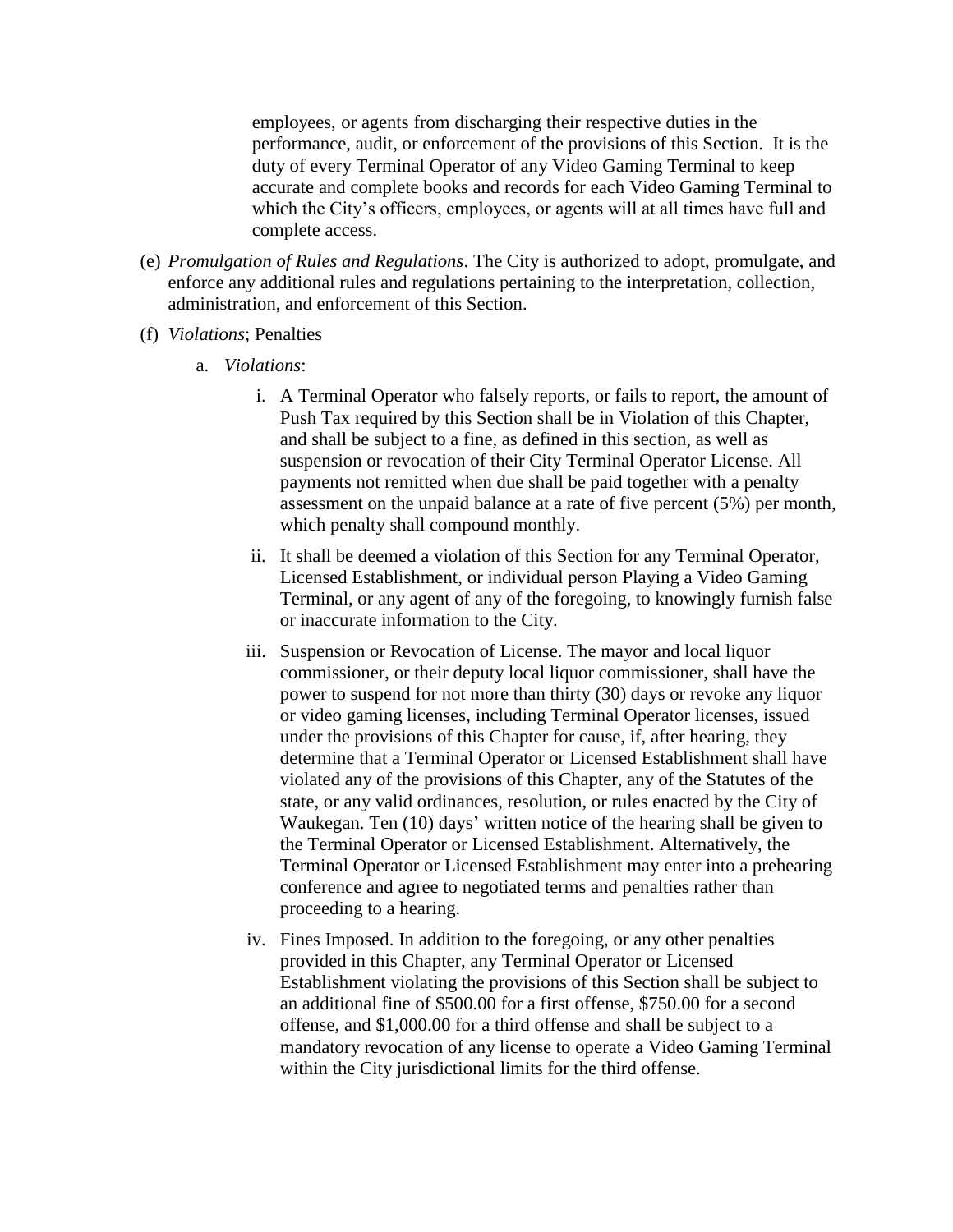employees, or agents from discharging their respective duties in the performance, audit, or enforcement of the provisions of this Section. It is the duty of every Terminal Operator of any Video Gaming Terminal to keep accurate and complete books and records for each Video Gaming Terminal to which the City's officers, employees, or agents will at all times have full and complete access.

- (e) *Promulgation of Rules and Regulations*. The City is authorized to adopt, promulgate, and enforce any additional rules and regulations pertaining to the interpretation, collection, administration, and enforcement of this Section.
- (f) *Violations*; Penalties
	- a. *Violations*:
		- i. A Terminal Operator who falsely reports, or fails to report, the amount of Push Tax required by this Section shall be in Violation of this Chapter, and shall be subject to a fine, as defined in this section, as well as suspension or revocation of their City Terminal Operator License. All payments not remitted when due shall be paid together with a penalty assessment on the unpaid balance at a rate of five percent (5%) per month, which penalty shall compound monthly.
		- ii. It shall be deemed a violation of this Section for any Terminal Operator, Licensed Establishment, or individual person Playing a Video Gaming Terminal, or any agent of any of the foregoing, to knowingly furnish false or inaccurate information to the City.
		- iii. Suspension or Revocation of License. The mayor and local liquor commissioner, or their deputy local liquor commissioner, shall have the power to suspend for not more than thirty (30) days or revoke any liquor or video gaming licenses, including Terminal Operator licenses, issued under the provisions of this Chapter for cause, if, after hearing, they determine that a Terminal Operator or Licensed Establishment shall have violated any of the provisions of this Chapter, any of the Statutes of the state, or any valid ordinances, resolution, or rules enacted by the City of Waukegan. Ten (10) days' written notice of the hearing shall be given to the Terminal Operator or Licensed Establishment. Alternatively, the Terminal Operator or Licensed Establishment may enter into a prehearing conference and agree to negotiated terms and penalties rather than proceeding to a hearing.
		- iv. Fines Imposed. In addition to the foregoing, or any other penalties provided in this Chapter, any Terminal Operator or Licensed Establishment violating the provisions of this Section shall be subject to an additional fine of \$500.00 for a first offense, \$750.00 for a second offense, and \$1,000.00 for a third offense and shall be subject to a mandatory revocation of any license to operate a Video Gaming Terminal within the City jurisdictional limits for the third offense.